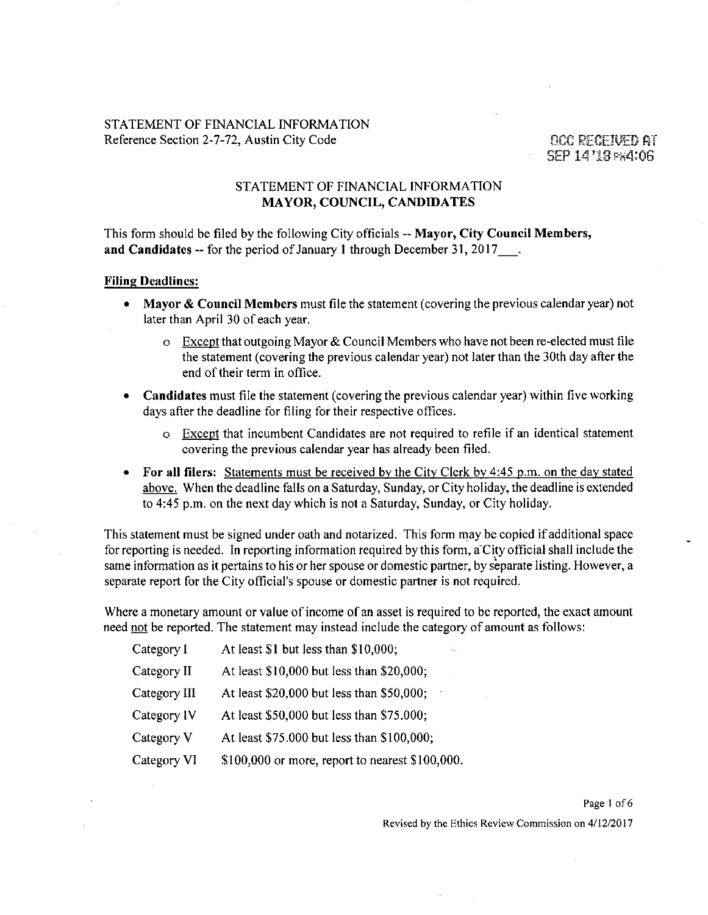• SEP 14 '18 PH4:06

# **STATEMENT OF FINANCIAL INFORMATION MAYOR, COUNCIL, CANDIDATES**

This form should be filed by the following City officials -- Mayor, City Council Members, and Candidates -- for the period of January 1 through December 31, 2017 .

#### **Filing Deadlines:**

- Mayor & Council Members must file the statement (covering the previous calendar year) not later than April 30 of each year.
	- $\circ$  Except that outgoing Mayor & Council Members who have not been re-elected must file the statement (covering the previous calendar year) not later than the 30th day after the end of their term in office.
- Candidates must file the statement (covering the previous calendar year) within five working days after the deadline for filing for their respective offices.
	- o Except that incumbent Candidates are not required to refile if an identical statement covering the previous calendar year has already been filed.
- For all filers: Statements must be received by the City Clerk by 4:45 p.m. on the day stated above. When the deadline falls on a Saturday, Sunday, or City holiday, the deadline is extended to 4:45 p.m. on the next day which is not a Saturday, Sunday, or City holiday.

This statement must be signed under oath and notarized. This form may be copied if additional space for reporting is needed. In reporting information required by this form, a'City official shall include the same information as it pertains to his or her spouse or domestic partner, by separate listing. However, a separate report for the City official's spouse or domestic partner is not required.

Where a monetary amount or value of income of an asset is required to be reported, the exact amount need not be reported. The statement may instead include the category of amount as follows:

| Category I   | At least \$1 but less than \$10,000;<br>٠.,        |
|--------------|----------------------------------------------------|
| Category II  | At least \$10,000 but less than \$20,000;          |
| Category III | At least \$20,000 but less than \$50,000;          |
| Category IV  | At least \$50,000 but less than \$75.000;          |
| Category V   | At least \$75,000 but less than \$100,000;         |
| Category VI  | $$100,000$ or more, report to nearest $$100,000$ . |

Page 1 of 6 Revised by the Ethics Review Commission on 4/12/2017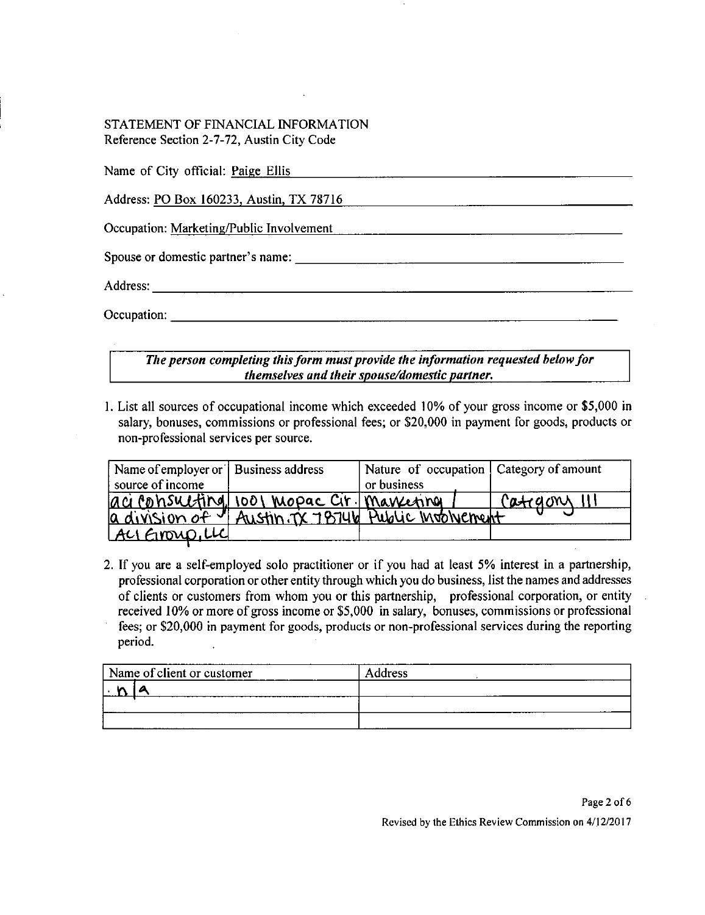| Name of City official: Paige Ellis       |  |
|------------------------------------------|--|
| Address: PO Box 160233, Austin, TX 78716 |  |
| Occupation: Marketing/Public Involvement |  |
| Spouse or domestic partner's name:       |  |
|                                          |  |
| Occupation:                              |  |

# *The person completing this form must provide the information requested below for themselves and their spouse/domestic partner.*

1. List all sources of occupational income which exceeded 10% of your gross income or \$5,000 in salary, bonuses, commissions or professional fees; or \$20,000 in payment for goods, products or non-professional services per source.

| Name of employer or   Business address |                                                    | Nature of occupation   Category of amount |              |
|----------------------------------------|----------------------------------------------------|-------------------------------------------|--------------|
| source of income                       |                                                    | or business                               |              |
|                                        | aci consulting 1001 mopac Cir. Marrenna            |                                           | Category III |
|                                        | a division of I Austin TX 78746 Public Involvement |                                           |              |
| ALI EINOUP, LLC                        |                                                    |                                           |              |

If you are a self-employed solo practitioner or if you had at least 5% interest in a partnership, professional corporation or other entity through which you do business, list the names and addresses of clients or customers from whom you or this partnership, professional corporation, or entity received 10% or more of gross income or \$5,000 in salary, bonuses, commissions or professional fees; or \$20,000 in payment for goods, products or non-professional services during the reporting period.

| Name of client or customer | <b>Address</b> |
|----------------------------|----------------|
|                            |                |
|                            |                |
|                            |                |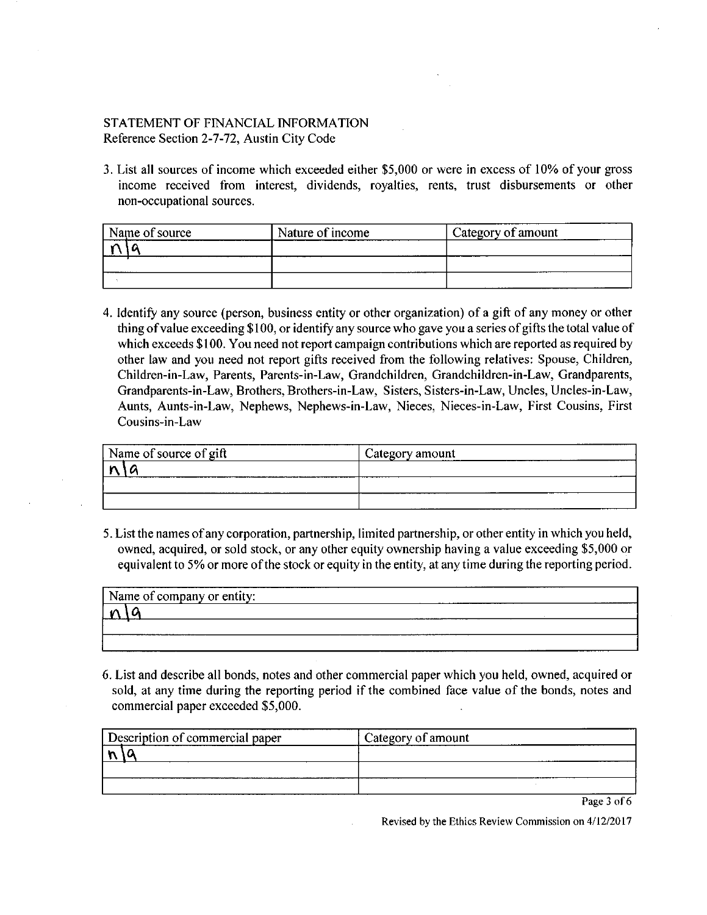3. List all sources of income which exceeded either \$5,000 or were in excess of 10% of your gross income received from interest, dividends, royalties, rents, trust disbursements or other non-occupational sources.

| Name of source | Nature of income | Category of amount |
|----------------|------------------|--------------------|
|                |                  |                    |
|                |                  |                    |
|                |                  |                    |

Identify any source (person, business entity or other organization) of a gift of any money or other thing of value exceeding \$ 100, or identify any source who gave you a series of gifts the total value of which exceeds \$100. You need not report campaign contributions which are reported as required by other law and you need not report gifts received from the following relatives: Spouse, Children, Children-in-Law, Parents, Parents-in-Law, Grandchildren, Grandchildren-in-Law, Grandparents, Grandparents-in-Law, Brothers, Brothers-in-Law, Sisters, Sisters-in-Law, Uncles, Uncles-in-Law, Aunts, Aunts-in-Law, Nephews, Nephews-in-Law, Nieces, Nieces-in-Law, First Cousins, First Cousins-in-Law

| Name of source of gift | Category amount |
|------------------------|-----------------|
|                        |                 |
|                        |                 |
|                        |                 |

5. List the names of any corporation, partnership, limited partnership, or other entity in which you held, owned, acquired, or sold stock, or any other equity ownership having a value exceeding \$5,000 or equivalent to 5% or more of the stock or equity in the entity, at any time during the reporting period.

| Name of company or entity: |  | . | _____________ |
|----------------------------|--|---|---------------|
|                            |  |   |               |
|                            |  |   |               |
|                            |  |   |               |

6. List and describe all bonds, notes and other commercial paper which you held, owned, acquired or sold, at any time during the reporting period if the combined face value of the bonds, notes and commercial paper exceeded \$5,000.

| Description of commercial paper | Category of amount |
|---------------------------------|--------------------|
|                                 |                    |
|                                 |                    |
|                                 |                    |

Page 3 of 6

Revised by the Ethics Review Commission on 4/12/2017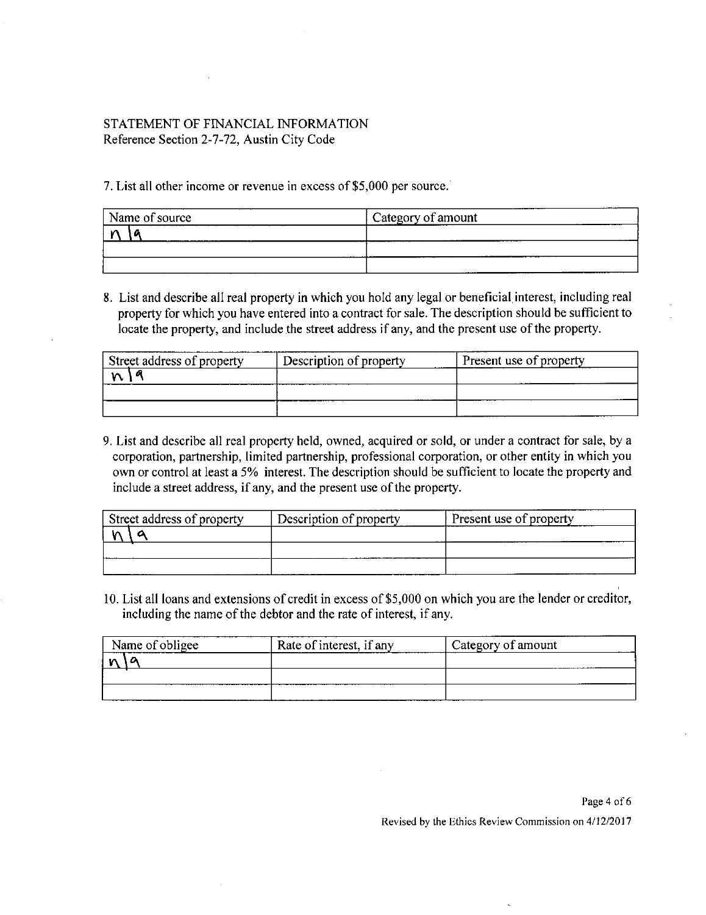7. List all other income or revenue in excess of \$5,000 per source.

| Name of source | ---<br>Category of amount |
|----------------|---------------------------|
|                | ----                      |
|                |                           |
|                |                           |

8. List and describe all real property in which you hold any legal or beneficial interest, including real property for which you have entered into a contract for sale. The description should be sufficient to locate the property, and include the street address if any, and the present use of the property.

| Street address of property | Description of property | Present use of property |
|----------------------------|-------------------------|-------------------------|
|                            |                         |                         |
|                            |                         |                         |
|                            |                         |                         |

9. List and describe all real property held, owned, acquired or sold, or under a contract for sale, by a corporation, partnership, limited partnership, professional corporation, or other entity in which you own or control at least a 5% interest. The description should be sufficient to locate the property and include a street address, if any, and the present use of the property.

| Street address of property | Description of property | Present use of property |
|----------------------------|-------------------------|-------------------------|
|                            |                         |                         |
|                            |                         |                         |
|                            |                         |                         |

10. List all loans and extensions of credit in excess of \$5,000 on which you are the lender or creditor, including the name of the debtor and the rate of interest, if any.

| Name of obligee | Rate of interest, if any | Category of amount |
|-----------------|--------------------------|--------------------|
|                 |                          |                    |
|                 |                          |                    |
|                 |                          |                    |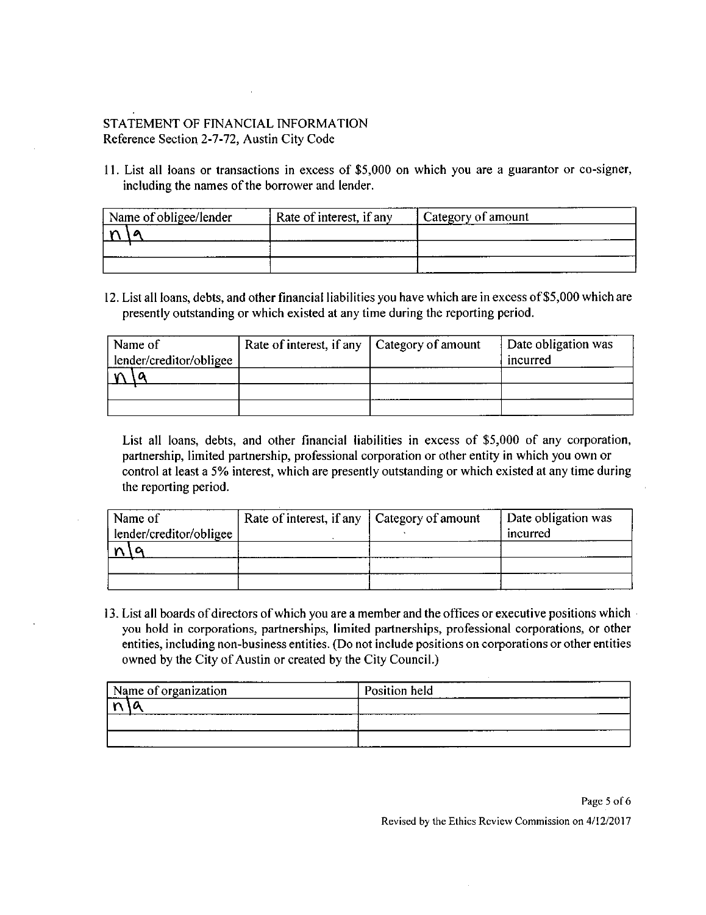11. List all loans or transactions in excess of \$5,000 on which you are a guarantor or co-signer, including the names of the borrower and lender.

| Name of obligee/lender |  | Rate of interest, if any | <sup>1</sup> Category of amount |  |
|------------------------|--|--------------------------|---------------------------------|--|
|                        |  |                          |                                 |  |
|                        |  |                          |                                 |  |
|                        |  |                          |                                 |  |

12. List all loans, debts, and other financial liabilities you have which are in excess of \$5,000 which are presently outstanding or which existed at any time during the reporting period.

| Name of                 |  | Rate of interest, if any   Category of amount | Date obligation was |
|-------------------------|--|-----------------------------------------------|---------------------|
| lender/creditor/obligee |  |                                               | incurred            |
|                         |  |                                               |                     |
|                         |  |                                               |                     |
|                         |  |                                               |                     |

List all loans, debts, and other financial liabilities in excess of \$5,000 of any corporafion, partnership, limited partnership, professional corporation or other entity in which you own or control at least a 5% interest, which are presently outstanding or which existed at any time during the reporting period.

| Name of                 | Rate of interest, if any   Category of amount | Date obligation was |
|-------------------------|-----------------------------------------------|---------------------|
| lender/creditor/obligee |                                               | incurred            |
|                         |                                               |                     |
|                         |                                               |                     |
|                         |                                               |                     |

13. List all boards of directors of which you are a member and the offices or executive positions which you hold in corporations, partnerships, limited partnerships, professional corporations, or other entities, including non-business entities. (Do not include positions on corporations or other entities owned by the City of Austin or created by the City Council.)

| Mame of organization | Position held |  |
|----------------------|---------------|--|
|                      |               |  |
|                      |               |  |
|                      | __________    |  |